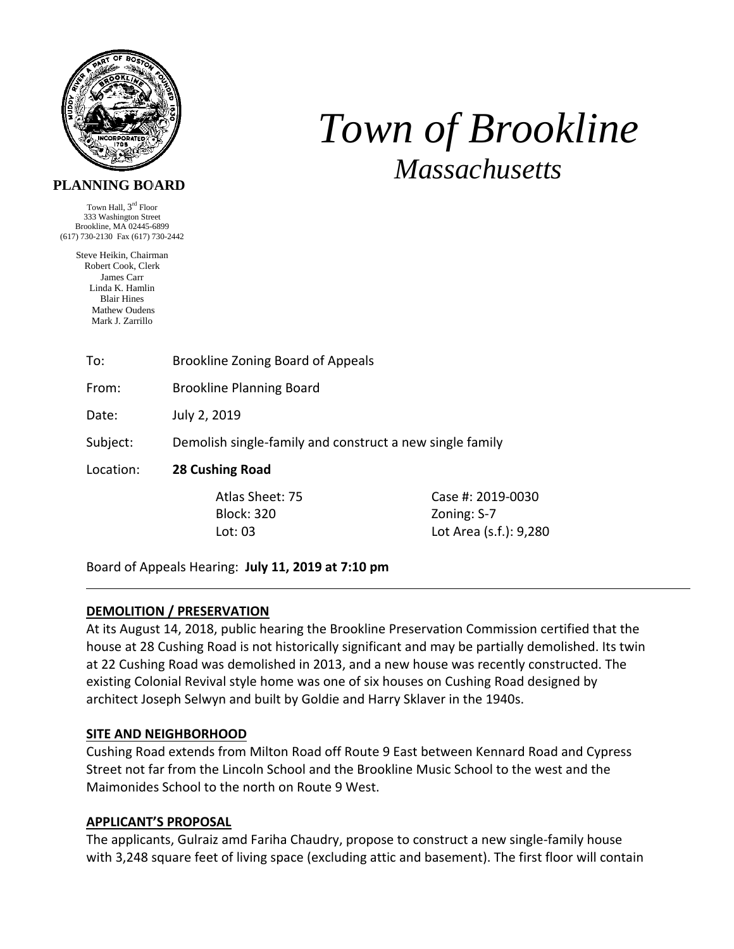

# *Town of Brookline Massachusetts*

# **PLANNING BOARD**

Town Hall, 3rd Floor 333 Washington Street Brookline, MA 02445-6899 (617) 730-2130 Fax (617) 730-2442

> Steve Heikin, Chairman Robert Cook, Clerk James Carr Linda K. Hamlin Blair Hines Mathew Oudens Mark J. Zarrillo

> > To: Brookline Zoning Board of Appeals

From: Brookline Planning Board

Date: July 2, 2019

Subject: Demolish single‐family and construct a new single family

Location: **28 Cushing Road**

Block: 320 Zoning: S‐7

 Atlas Sheet: 75 Case #: 2019‐0030 Lot: 03 Lot Area (s.f.): 9,280

Board of Appeals Hearing: **July 11, 2019 at 7:10 pm**

## **DEMOLITION / PRESERVATION**

At its August 14, 2018, public hearing the Brookline Preservation Commission certified that the house at 28 Cushing Road is not historically significant and may be partially demolished. Its twin at 22 Cushing Road was demolished in 2013, and a new house was recently constructed. The existing Colonial Revival style home was one of six houses on Cushing Road designed by architect Joseph Selwyn and built by Goldie and Harry Sklaver in the 1940s.

## **SITE AND NEIGHBORHOOD**

Cushing Road extends from Milton Road off Route 9 East between Kennard Road and Cypress Street not far from the Lincoln School and the Brookline Music School to the west and the Maimonides School to the north on Route 9 West.

## **APPLICANT'S PROPOSAL**

The applicants, Gulraiz amd Fariha Chaudry, propose to construct a new single‐family house with 3,248 square feet of living space (excluding attic and basement). The first floor will contain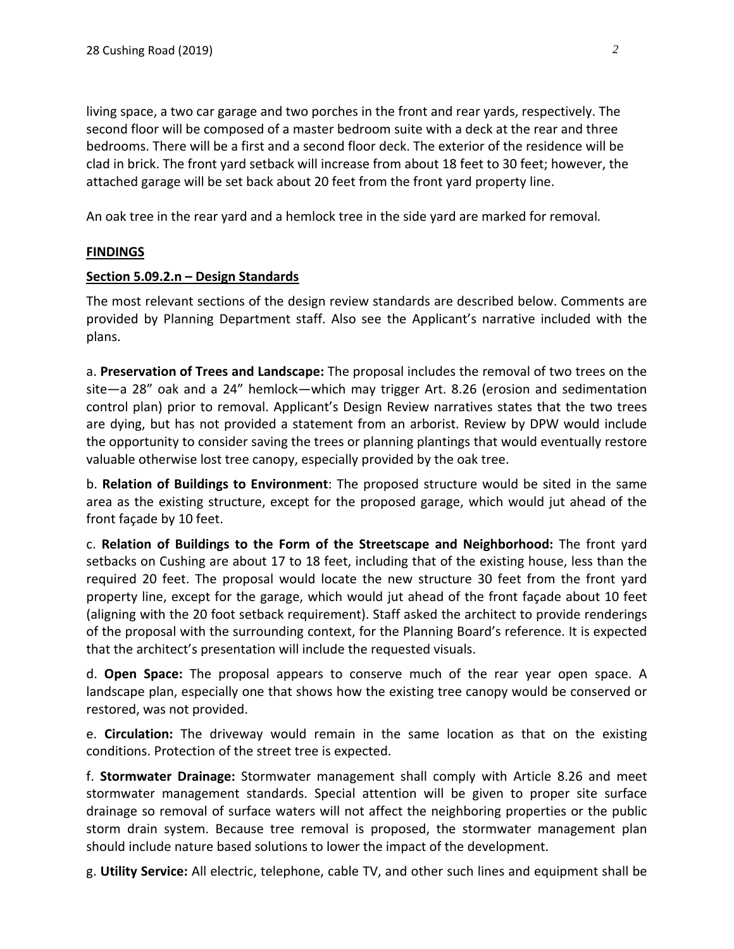living space, a two car garage and two porches in the front and rear yards, respectively. The second floor will be composed of a master bedroom suite with a deck at the rear and three bedrooms. There will be a first and a second floor deck. The exterior of the residence will be clad in brick. The front yard setback will increase from about 18 feet to 30 feet; however, the attached garage will be set back about 20 feet from the front yard property line.

An oak tree in the rear yard and a hemlock tree in the side yard are marked for removal*.* 

#### **FINDINGS**

#### **Section 5.09.2.n – Design Standards**

The most relevant sections of the design review standards are described below. Comments are provided by Planning Department staff. Also see the Applicant's narrative included with the plans.

a. **Preservation of Trees and Landscape:** The proposal includes the removal of two trees on the site—a 28" oak and a 24" hemlock—which may trigger Art. 8.26 (erosion and sedimentation control plan) prior to removal. Applicant's Design Review narratives states that the two trees are dying, but has not provided a statement from an arborist. Review by DPW would include the opportunity to consider saving the trees or planning plantings that would eventually restore valuable otherwise lost tree canopy, especially provided by the oak tree.

b. **Relation of Buildings to Environment**: The proposed structure would be sited in the same area as the existing structure, except for the proposed garage, which would jut ahead of the front façade by 10 feet.

c. **Relation of Buildings to the Form of the Streetscape and Neighborhood:** The front yard setbacks on Cushing are about 17 to 18 feet, including that of the existing house, less than the required 20 feet. The proposal would locate the new structure 30 feet from the front yard property line, except for the garage, which would jut ahead of the front façade about 10 feet (aligning with the 20 foot setback requirement). Staff asked the architect to provide renderings of the proposal with the surrounding context, for the Planning Board's reference. It is expected that the architect's presentation will include the requested visuals.

d. **Open Space:** The proposal appears to conserve much of the rear year open space. A landscape plan, especially one that shows how the existing tree canopy would be conserved or restored, was not provided.

e. **Circulation:** The driveway would remain in the same location as that on the existing conditions. Protection of the street tree is expected.

f. **Stormwater Drainage:** Stormwater management shall comply with Article 8.26 and meet stormwater management standards. Special attention will be given to proper site surface drainage so removal of surface waters will not affect the neighboring properties or the public storm drain system. Because tree removal is proposed, the stormwater management plan should include nature based solutions to lower the impact of the development.

g. **Utility Service:** All electric, telephone, cable TV, and other such lines and equipment shall be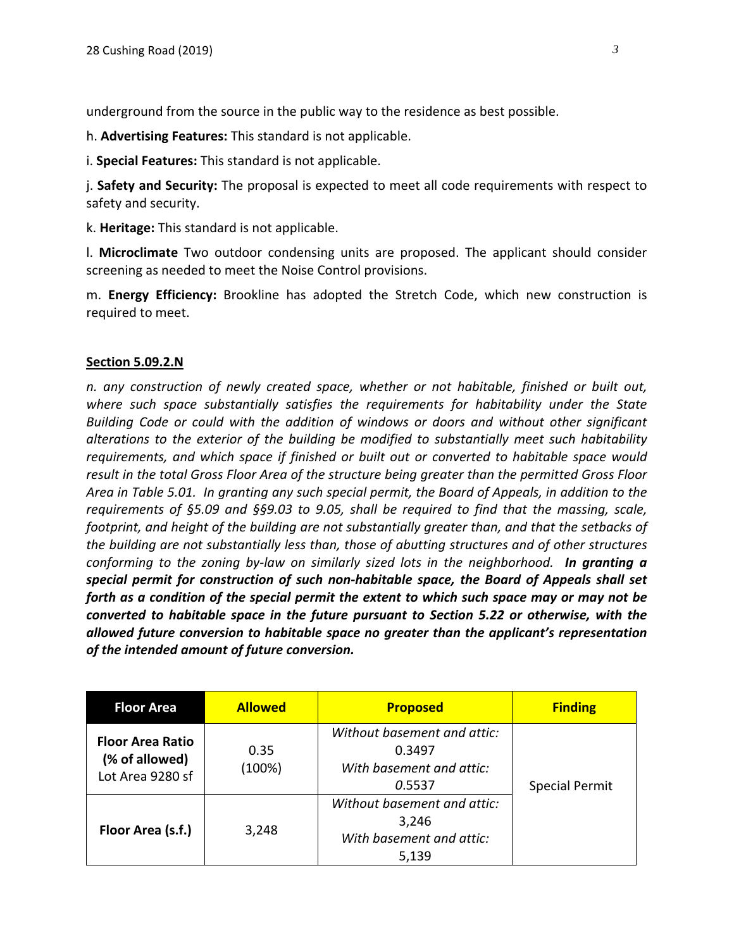underground from the source in the public way to the residence as best possible.

h. **Advertising Features:** This standard is not applicable.

i. **Special Features:** This standard is not applicable.

j. **Safety and Security:** The proposal is expected to meet all code requirements with respect to safety and security.

k. **Heritage:** This standard is not applicable.

l. **Microclimate** Two outdoor condensing units are proposed. The applicant should consider screening as needed to meet the Noise Control provisions.

m. **Energy Efficiency:** Brookline has adopted the Stretch Code, which new construction is required to meet.

#### **Section 5.09.2.N**

*n. any construction of newly created space, whether or not habitable, finished or built out, where such space substantially satisfies the requirements for habitability under the State Building Code or could with the addition of windows or doors and without other significant alterations to the exterior of the building be modified to substantially meet such habitability requirements, and which space if finished or built out or converted to habitable space would result in the total Gross Floor Area of the structure being greater than the permitted Gross Floor* Area in Table 5.01. In granting any such special permit, the Board of Appeals, in addition to the *requirements of §5.09 and §§9.03 to 9.05, shall be required to find that the massing, scale, footprint, and height of the building are not substantially greater than, and that the setbacks of the building are not substantially less than, those of abutting structures and of other structures conforming to the zoning by‐law on similarly sized lots in the neighborhood. In granting a special permit for construction of such non‐habitable space, the Board of Appeals shall set forth as a condition of the special permit the extent to which such space may or may not be converted to habitable space in the future pursuant to Section 5.22 or otherwise, with the allowed future conversion to habitable space no greater than the applicant's representation of the intended amount of future conversion.* 

| <b>Floor Area</b>                                             | <b>Allowed</b> | <b>Proposed</b>                                                             | <b>Finding</b>        |
|---------------------------------------------------------------|----------------|-----------------------------------------------------------------------------|-----------------------|
| <b>Floor Area Ratio</b><br>(% of allowed)<br>Lot Area 9280 sf | 0.35<br>(100%) | Without basement and attic:<br>0.3497<br>With basement and attic:<br>0.5537 | <b>Special Permit</b> |
| Floor Area (s.f.)                                             | 3,248          | Without basement and attic:<br>3,246<br>With basement and attic:<br>5,139   |                       |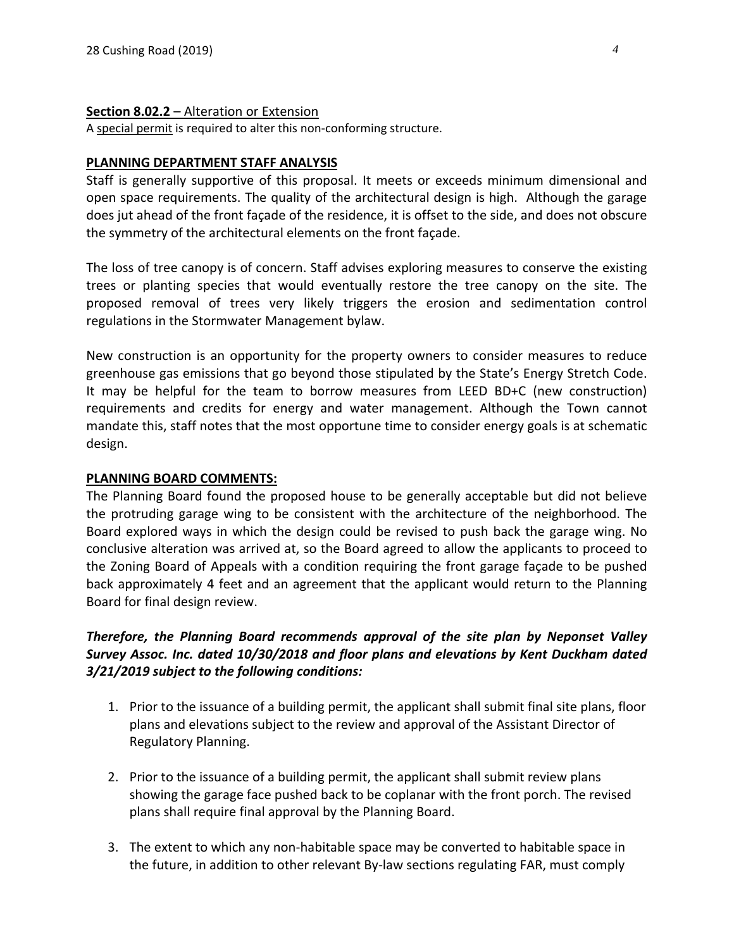#### **Section 8.02.2** – Alteration or Extension

A special permit is required to alter this non-conforming structure.

#### **PLANNING DEPARTMENT STAFF ANALYSIS**

Staff is generally supportive of this proposal. It meets or exceeds minimum dimensional and open space requirements. The quality of the architectural design is high. Although the garage does jut ahead of the front façade of the residence, it is offset to the side, and does not obscure the symmetry of the architectural elements on the front façade.

The loss of tree canopy is of concern. Staff advises exploring measures to conserve the existing trees or planting species that would eventually restore the tree canopy on the site. The proposed removal of trees very likely triggers the erosion and sedimentation control regulations in the Stormwater Management bylaw.

New construction is an opportunity for the property owners to consider measures to reduce greenhouse gas emissions that go beyond those stipulated by the State's Energy Stretch Code. It may be helpful for the team to borrow measures from LEED BD+C (new construction) requirements and credits for energy and water management. Although the Town cannot mandate this, staff notes that the most opportune time to consider energy goals is at schematic design.

#### **PLANNING BOARD COMMENTS:**

The Planning Board found the proposed house to be generally acceptable but did not believe the protruding garage wing to be consistent with the architecture of the neighborhood. The Board explored ways in which the design could be revised to push back the garage wing. No conclusive alteration was arrived at, so the Board agreed to allow the applicants to proceed to the Zoning Board of Appeals with a condition requiring the front garage façade to be pushed back approximately 4 feet and an agreement that the applicant would return to the Planning Board for final design review.

# *Therefore, the Planning Board recommends approval of the site plan by Neponset Valley Survey Assoc. Inc. dated 10/30/2018 and floor plans and elevations by Kent Duckham dated 3/21/2019 subject to the following conditions:*

- 1. Prior to the issuance of a building permit, the applicant shall submit final site plans, floor plans and elevations subject to the review and approval of the Assistant Director of Regulatory Planning.
- 2. Prior to the issuance of a building permit, the applicant shall submit review plans showing the garage face pushed back to be coplanar with the front porch. The revised plans shall require final approval by the Planning Board.
- 3. The extent to which any non‐habitable space may be converted to habitable space in the future, in addition to other relevant By‐law sections regulating FAR, must comply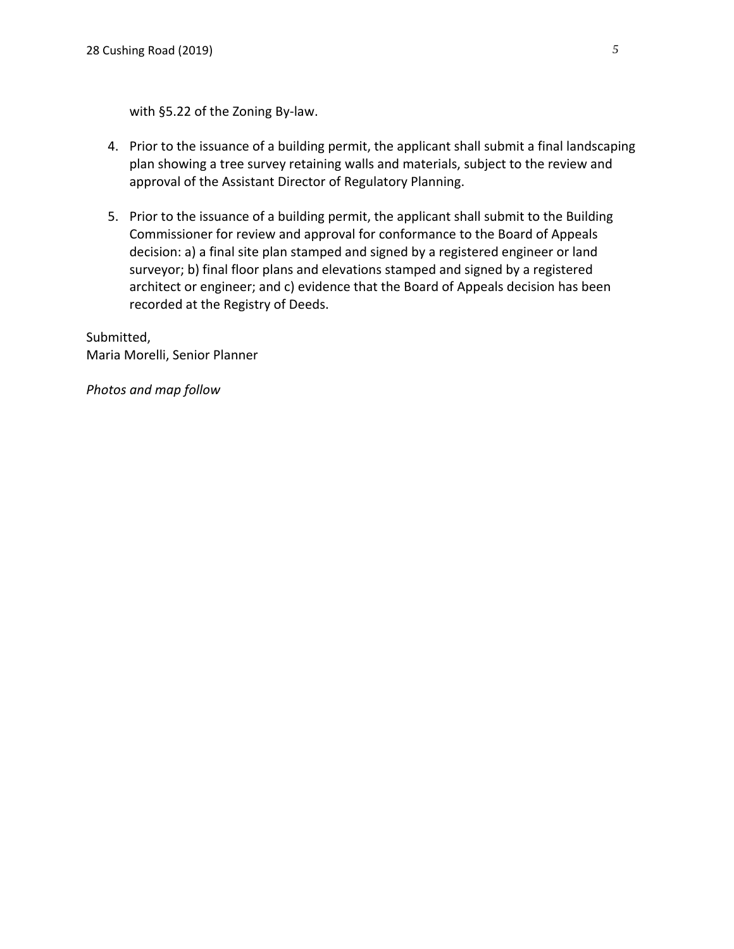with §5.22 of the Zoning By‐law.

- 4. Prior to the issuance of a building permit, the applicant shall submit a final landscaping plan showing a tree survey retaining walls and materials, subject to the review and approval of the Assistant Director of Regulatory Planning.
- 5. Prior to the issuance of a building permit, the applicant shall submit to the Building Commissioner for review and approval for conformance to the Board of Appeals decision: a) a final site plan stamped and signed by a registered engineer or land surveyor; b) final floor plans and elevations stamped and signed by a registered architect or engineer; and c) evidence that the Board of Appeals decision has been recorded at the Registry of Deeds.

Submitted, Maria Morelli, Senior Planner

*Photos and map follow*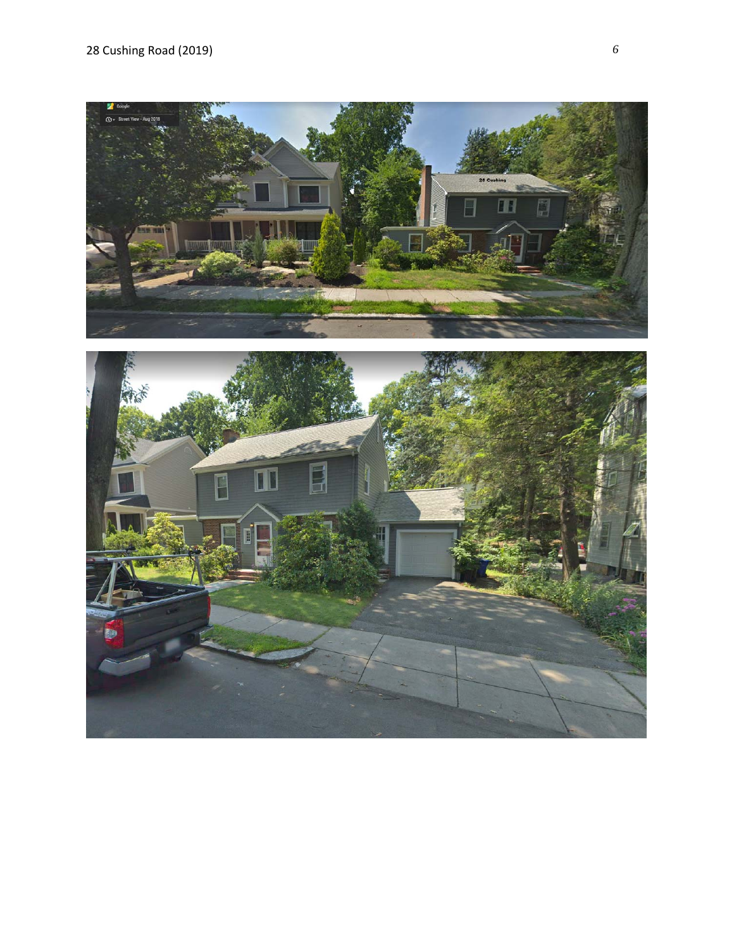